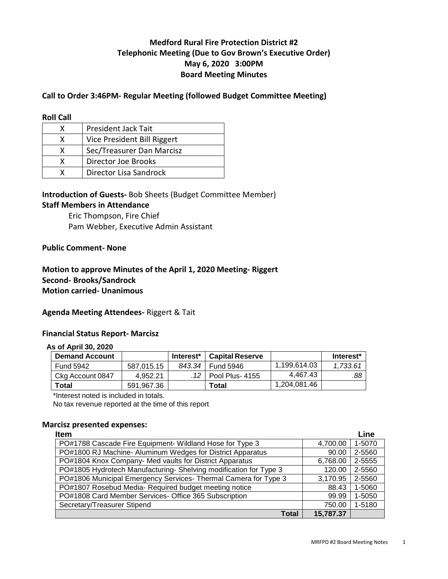# **Medford Rural Fire Protection District #2 Telephonic Meeting (Due to Gov Brown's Executive Order) May 6, 2020 3:00PM Board Meeting Minutes**

## **Call to Order 3:46PM- Regular Meeting (followed Budget Committee Meeting)**

#### **Roll Call**

| x | President Jack Tait         |
|---|-----------------------------|
| x | Vice President Bill Riggert |
| x | Sec/Treasurer Dan Marcisz   |
| x | Director Joe Brooks         |
|   | Director Lisa Sandrock      |

## **Introduction of Guests-** Bob Sheets (Budget Committee Member) **Staff Members in Attendance**

Eric Thompson, Fire Chief Pam Webber, Executive Admin Assistant

### **Public Comment- None**

## **Motion to approve Minutes of the April 1, 2020 Meeting- Riggert Second- Brooks/Sandrock Motion carried- Unanimous**

#### **Agenda Meeting Attendees-** Riggert & Tait

## **Financial Status Report- Marcisz**

## **As of April 30, 2020**

| <b>Demand Account</b> |            | Interest <sup>*</sup> | <b>Capital Reserve</b> |              | Interest* |
|-----------------------|------------|-----------------------|------------------------|--------------|-----------|
| Fund 5942             | 587.015.15 |                       | 843.34   Fund 5946     | 1.199.614.03 | 1.733.61  |
| Ckg Account 0847      | 4.952.21   | 12                    | Pool Plus-4155         | 4.467.43     | .88       |
| <b>Total</b>          | 591.967.36 |                       | Total                  | 1.204.081.46 |           |

\*Interest noted is included in totals.

No tax revenue reported at the time of this report

#### **Marcisz presented expenses:**

| <b>Item</b>                                                      |           | Line   |
|------------------------------------------------------------------|-----------|--------|
| PO#1788 Cascade Fire Equipment- Wildland Hose for Type 3         | 4,700.00  | 1-5070 |
| PO#1800 RJ Machine- Aluminum Wedges for District Apparatus       | 90.00     | 2-5560 |
| PO#1804 Knox Company- Med vaults for District Apparatus          | 6,768.00  | 2-5555 |
| PO#1805 Hydrotech Manufacturing-Shelving modification for Type 3 | 120.00    | 2-5560 |
| PO#1806 Municipal Emergency Services- Thermal Camera for Type 3  | 3,170.95  | 2-5560 |
| PO#1807 Rosebud Media- Required budget meeting notice            | 88.43     | 1-5060 |
| PO#1808 Card Member Services- Office 365 Subscription            | 99.99     | 1-5050 |
| Secretary/Treasurer Stipend                                      | 750.00    | 1-5180 |
| Total                                                            | 15,787.37 |        |